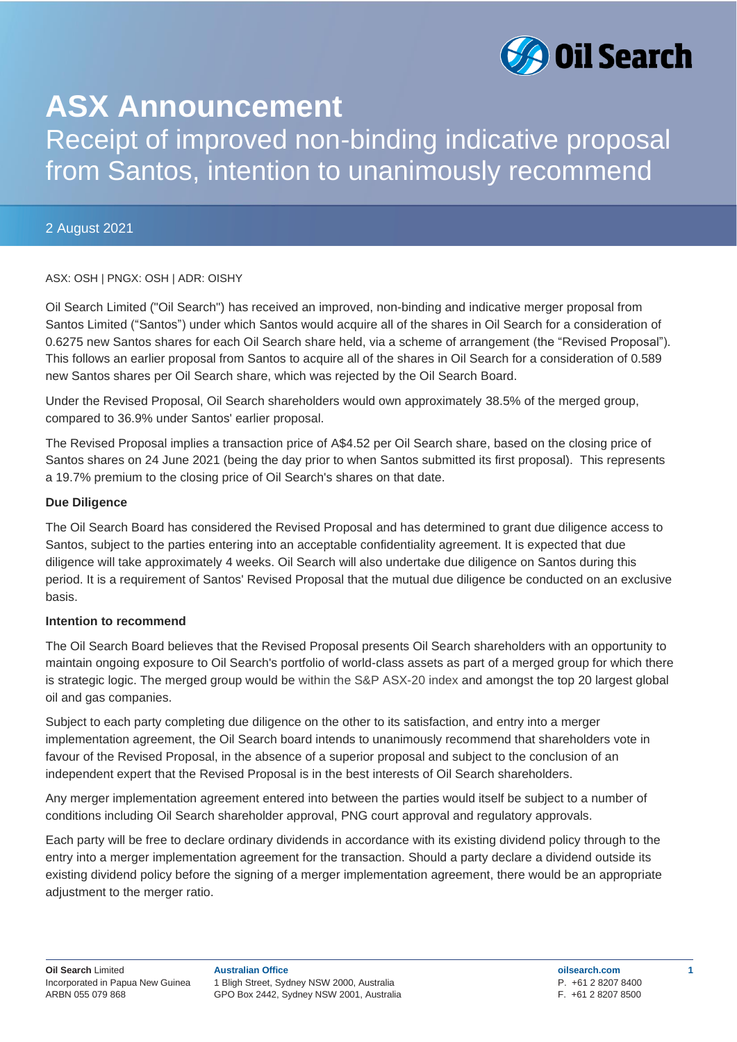

# **ASX Announcement**

# Receipt of improved non-binding indicative proposal from Santos, intention to unanimously recommend

# 2 August 2021

## ASX: OSH | PNGX: OSH | ADR: OISHY

Oil Search Limited ("Oil Search") has received an improved, non-binding and indicative merger proposal from Santos Limited ("Santos") under which Santos would acquire all of the shares in Oil Search for a consideration of 0.6275 new Santos shares for each Oil Search share held, via a scheme of arrangement (the "Revised Proposal"). This follows an earlier proposal from Santos to acquire all of the shares in Oil Search for a consideration of 0.589 new Santos shares per Oil Search share, which was rejected by the Oil Search Board.

Under the Revised Proposal, Oil Search shareholders would own approximately 38.5% of the merged group, compared to 36.9% under Santos' earlier proposal.

The Revised Proposal implies a transaction price of A\$4.52 per Oil Search share, based on the closing price of Santos shares on 24 June 2021 (being the day prior to when Santos submitted its first proposal). This represents a 19.7% premium to the closing price of Oil Search's shares on that date.

### **Due Diligence**

The Oil Search Board has considered the Revised Proposal and has determined to grant due diligence access to Santos, subject to the parties entering into an acceptable confidentiality agreement. It is expected that due diligence will take approximately 4 weeks. Oil Search will also undertake due diligence on Santos during this period. It is a requirement of Santos' Revised Proposal that the mutual due diligence be conducted on an exclusive basis.

### **Intention to recommend**

The Oil Search Board believes that the Revised Proposal presents Oil Search shareholders with an opportunity to maintain ongoing exposure to Oil Search's portfolio of world-class assets as part of a merged group for which there is strategic logic. The merged group would be within the S&P ASX-20 index and amongst the top 20 largest global oil and gas companies.

Subject to each party completing due diligence on the other to its satisfaction, and entry into a merger implementation agreement, the Oil Search board intends to unanimously recommend that shareholders vote in favour of the Revised Proposal, in the absence of a superior proposal and subject to the conclusion of an independent expert that the Revised Proposal is in the best interests of Oil Search shareholders.

Any merger implementation agreement entered into between the parties would itself be subject to a number of conditions including Oil Search shareholder approval, PNG court approval and regulatory approvals.

Each party will be free to declare ordinary dividends in accordance with its existing dividend policy through to the entry into a merger implementation agreement for the transaction. Should a party declare a dividend outside its existing dividend policy before the signing of a merger implementation agreement, there would be an appropriate adjustment to the merger ratio.